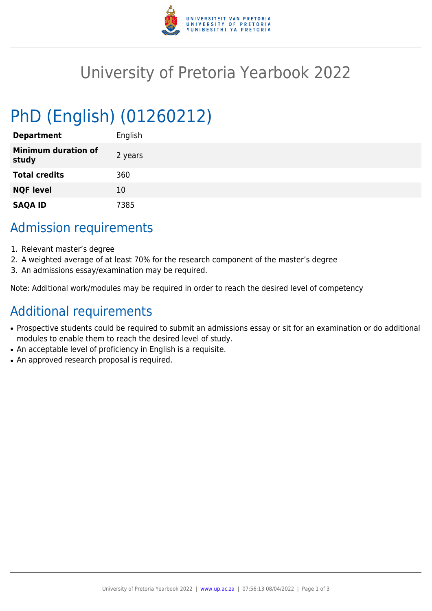

# University of Pretoria Yearbook 2022

# PhD (English) (01260212)

| <b>Department</b>                   | English |
|-------------------------------------|---------|
| <b>Minimum duration of</b><br>study | 2 years |
| <b>Total credits</b>                | 360     |
| <b>NQF level</b>                    | 10      |
| <b>SAQA ID</b>                      | 7385    |

### Admission requirements

- 1. Relevant master's degree
- 2. A weighted average of at least 70% for the research component of the master's degree
- 3. An admissions essay/examination may be required.

Note: Additional work/modules may be required in order to reach the desired level of competency

## Additional requirements

- Prospective students could be required to submit an admissions essay or sit for an examination or do additional modules to enable them to reach the desired level of study.
- An acceptable level of proficiency in English is a requisite.
- An approved research proposal is required.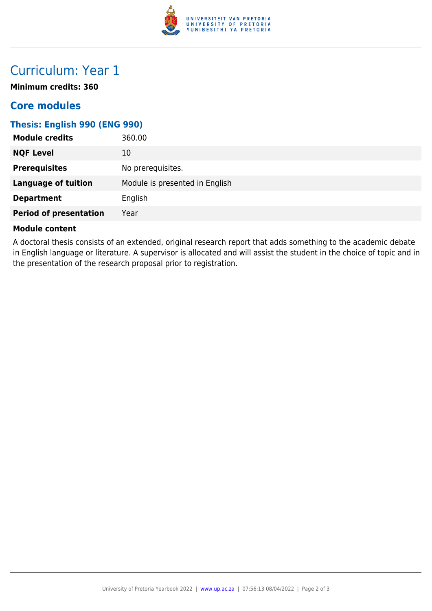

## Curriculum: Year 1

**Minimum credits: 360**

### **Core modules**

#### **Thesis: English 990 (ENG 990)**

| <b>Module credits</b>         | 360.00                         |
|-------------------------------|--------------------------------|
| <b>NQF Level</b>              | 10                             |
| <b>Prerequisites</b>          | No prerequisites.              |
| <b>Language of tuition</b>    | Module is presented in English |
| <b>Department</b>             | English                        |
| <b>Period of presentation</b> | Year                           |

#### **Module content**

A doctoral thesis consists of an extended, original research report that adds something to the academic debate in English language or literature. A supervisor is allocated and will assist the student in the choice of topic and in the presentation of the research proposal prior to registration.